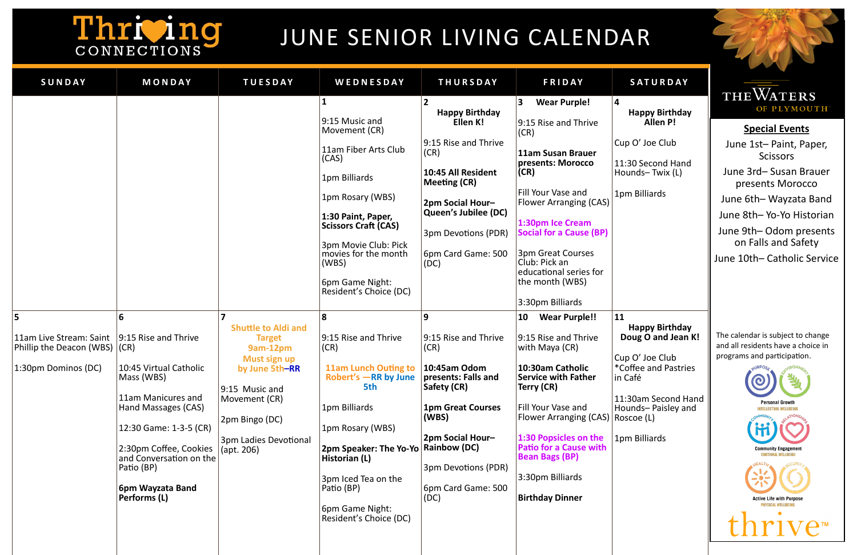**Special Events**

June 1st– Paint, Paper, **Scissors** 

June 3rd– Susan Brauer presents Morocco

June 6th– Wayzata Band

June 8th– Yo-Yo Historian

June 9th– Odom presents on Falls and Safety

June 10th– Catholic Service

The calendar is subject to change and all residents have a choice in programs and participation.



# Thriving

## JUNE SENIOR LIVING CALENDAR

## **Happy Birthday Allen P!**

| SUNDAY                                                                          | MONDAY                                                                                                                                                                                                                                                  | <b>TUESDAY</b>                                                                                                                                                                        | WEDNESDAY                                                                                                                                                                                                                                                                                                                                                                                                                                                                                                                                            | <b>THURSDAY</b>                                                                                                                                                                                                                                                                                                                                                                                                          | <b>FRIDAY</b>                                                                                                                                                                                                                                                                                                                                                                                                                                                                                                                                                                                                                                           | SATURDAY                                                                                                                                                                                                                                                                                                  |
|---------------------------------------------------------------------------------|---------------------------------------------------------------------------------------------------------------------------------------------------------------------------------------------------------------------------------------------------------|---------------------------------------------------------------------------------------------------------------------------------------------------------------------------------------|------------------------------------------------------------------------------------------------------------------------------------------------------------------------------------------------------------------------------------------------------------------------------------------------------------------------------------------------------------------------------------------------------------------------------------------------------------------------------------------------------------------------------------------------------|--------------------------------------------------------------------------------------------------------------------------------------------------------------------------------------------------------------------------------------------------------------------------------------------------------------------------------------------------------------------------------------------------------------------------|---------------------------------------------------------------------------------------------------------------------------------------------------------------------------------------------------------------------------------------------------------------------------------------------------------------------------------------------------------------------------------------------------------------------------------------------------------------------------------------------------------------------------------------------------------------------------------------------------------------------------------------------------------|-----------------------------------------------------------------------------------------------------------------------------------------------------------------------------------------------------------------------------------------------------------------------------------------------------------|
| 5<br>11am Live Stream: Saint<br>Phillip the Deacon (WBS)<br>1:30pm Dominos (DC) | 6<br>9:15 Rise and Thrive<br>(CR)<br>10:45 Virtual Catholic<br>Mass (WBS)<br>11am Manicures and<br>Hand Massages (CAS)<br>12:30 Game: 1-3-5 (CR)<br>2:30pm Coffee, Cookies<br>and Conversation on the<br>Patio (BP)<br>6pm Wayzata Band<br>Performs (L) | <b>Shuttle to Aldi and</b><br><b>Target</b><br>9am-12pm<br>Must sign up<br>by June 5th-RR<br>9:15 Music and<br>Movement (CR)<br>2pm Bingo (DC)<br>3pm Ladies Devotional<br>(apt. 206) | 9:15 Music and<br>Movement (CR)<br>11am Fiber Arts Club<br>(CAS)<br>1pm Billiards<br>1pm Rosary (WBS)<br>1:30 Paint, Paper,<br><b>Scissors Craft (CAS)</b><br>3pm Movie Club: Pick<br>movies for the month<br>(WBS)<br>6pm Game Night:<br>Resident's Choice (DC)<br>8<br>9:15 Rise and Thrive<br>(CR)<br><b>11am Lunch Outing to</b><br>Robert's -RR by June<br>5th<br>1pm Billiards<br>1pm Rosary (WBS)<br>2pm Speaker: The Yo-Yo   Rainbow (DC)<br>Historian (L)<br>3pm Iced Tea on the<br>Patio (BP)<br>6pm Game Night:<br>Resident's Choice (DC) | <b>Happy Birthday</b><br>Ellen K!<br>9:15 Rise and Thrive<br>(CR)<br>10:45 All Resident<br>Meeting (CR)<br>2pm Social Hour-<br>Queen's Jubilee (DC)<br>3pm Devotions (PDR)<br>6pm Card Game: 500<br>(DC)<br>9<br>9:15 Rise and Thrive<br>(CR)<br>10:45am Odom<br>presents: Falls and<br>Safety (CR)<br><b>1pm Great Courses</b><br>(WBS)<br><b>2pm Social Hour-</b><br>3pm Devotions (PDR)<br>6pm Card Game: 500<br>(DC) | <b>Wear Purple!</b><br>3<br>9:15 Rise and Thrive<br>(CR)<br>11am Susan Brauer<br>presents: Morocco<br>(CR)<br>Fill Your Vase and<br><b>Flower Arranging (CAS)</b><br>1:30pm Ice Cream<br><b>Social for a Cause (BP)</b><br>3pm Great Courses<br>Club: Pick an<br>educational series for<br>the month (WBS)<br>3:30pm Billiards<br><b>Wear Purple!!</b><br>10<br>9:15 Rise and Thrive<br>with Maya (CR)<br>10:30am Catholic<br><b>Service with Father</b><br>Terry (CR)<br>Fill Your Vase and<br>Flower Arranging (CAS)<br>1:30 Popsicles on the<br><b>Patio for a Cause with</b><br><b>Bean Bags (BP)</b><br>3:30pm Billiards<br><b>Birthday Dinner</b> | 4<br><b>Happy Birthday</b><br><b>Allen P!</b><br>Cup O' Joe Club<br>11:30 Second Hand<br>Hounds-Twix (L)<br>1pm Billiards<br>11<br><b>Happy Birthday</b><br>Doug O and Jean<br>Cup O' Joe Club<br>*Coffee and Pastrie<br>in Café<br>11:30am Second Ha<br>Hounds-Paisley an<br>Roscoe (L)<br>1pm Billiards |
|                                                                                 |                                                                                                                                                                                                                                                         |                                                                                                                                                                                       |                                                                                                                                                                                                                                                                                                                                                                                                                                                                                                                                                      |                                                                                                                                                                                                                                                                                                                                                                                                                          |                                                                                                                                                                                                                                                                                                                                                                                                                                                                                                                                                                                                                                                         |                                                                                                                                                                                                                                                                                                           |

### **Happy Birthday Doug O and Jean K!**

O' Joe Club ffee and Pastries afé

0am Second Hand Inds– Paisley and coe (L)

## **THEWATERS** OF PLYMOUTH®